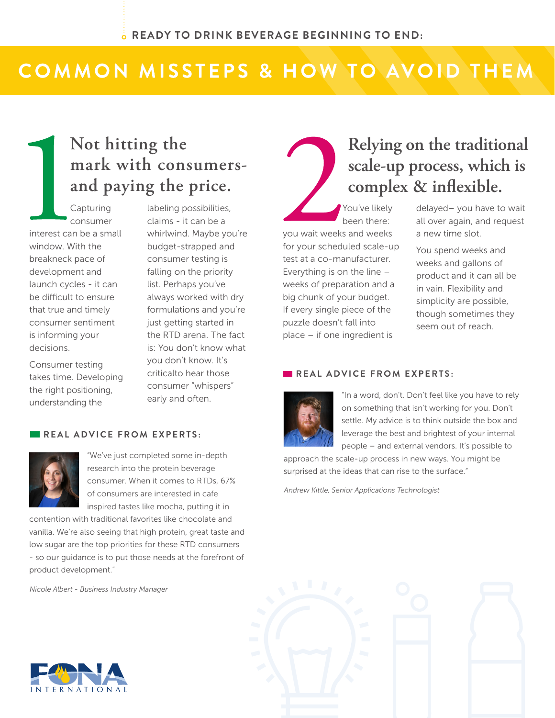## COMMON MISSTEPS & HOW TO AVOID THEM

### **Not hitting the** mark with consumers**and paying the price.**

Capturing consumer interest can be a small window. With the breakneck pace of development and launch cycles - it can be difficult to ensure that true and timely consumer sentiment is informing your decisions.

Consumer testing takes time. Developing the right positioning, understanding the

labeling possibilities, claims - it can be a whirlwind. Maybe you're budget-strapped and consumer testing is falling on the priority list. Perhaps you've always worked with dry formulations and you're just getting started in the RTD arena. The fact is: You don't know what you don't know. It's criticalto hear those consumer "whispers" early and often.

#### **REAL ADVICE FROM EXPERTS:**



"We've just completed some in-depth research into the protein beverage consumer. When it comes to RTDs, 67% of consumers are interested in cafe inspired tastes like mocha, putting it in

contention with traditional favorites like chocolate and vanilla. We're also seeing that high protein, great taste and low sugar are the top priorities for these RTD consumers - so our guidance is to put those needs at the forefront of product development."

Nicole Albert - Business Industry Manager



### **Relying on the traditional scale-up process, which is complex & inflexible.**

You've likely been there: you wait weeks and weeks for your scheduled scale-up test at a co-manufacturer. Everything is on the line – weeks of preparation and a big chunk of your budget. If every single piece of the puzzle doesn't fall into place – if one ingredient is

delayed– you have to wait all over again, and request a new time slot.

You spend weeks and weeks and gallons of product and it can all be in vain. Flexibility and simplicity are possible, though sometimes they seem out of reach.

#### **REAL ADVICE FROM EXPERTS:**



"In a word, don't. Don't feel like you have to rely on something that isn't working for you. Don't settle. My advice is to think outside the box and leverage the best and brightest of your internal people – and external vendors. It's possible to

approach the scale-up process in new ways. You might be surprised at the ideas that can rise to the surface."

Andrew Kittle, Senior Applications Technologist